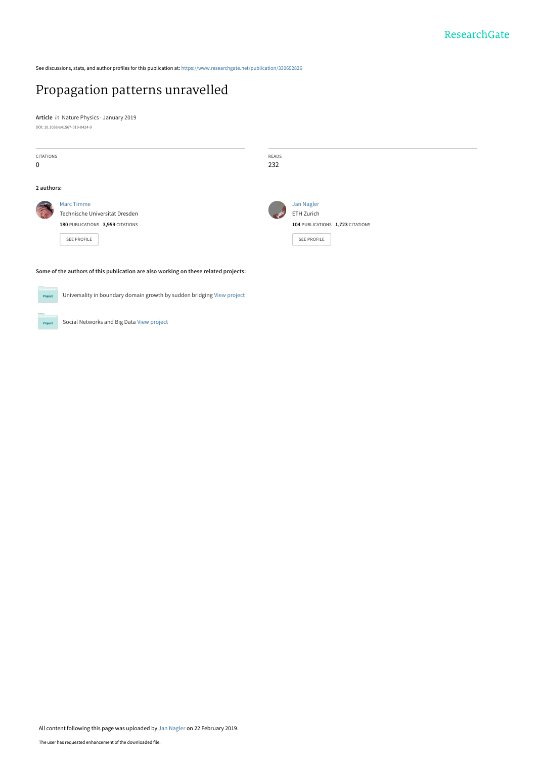See discussions, stats, and author profiles for this publication at: [https://www.researchgate.net/publication/330692826](https://www.researchgate.net/publication/330692826_Propagation_patterns_unravelled?enrichId=rgreq-f72c7958f445610dd217ba42dad7915e-XXX&enrichSource=Y292ZXJQYWdlOzMzMDY5MjgyNjtBUzo3MjkwMjgxNjgyNTM0NDBAMTU1MDgyNTI2ODAyMg%3D%3D&el=1_x_2&_esc=publicationCoverPdf)

# [Propagation patterns unravelled](https://www.researchgate.net/publication/330692826_Propagation_patterns_unravelled?enrichId=rgreq-f72c7958f445610dd217ba42dad7915e-XXX&enrichSource=Y292ZXJQYWdlOzMzMDY5MjgyNjtBUzo3MjkwMjgxNjgyNTM0NDBAMTU1MDgyNTI2ODAyMg%3D%3D&el=1_x_3&_esc=publicationCoverPdf)

**Article** in Nature Physics · January 2019 DOI: 10.1038/s41567-019-0424-9

| CITATIONS<br>$\mathbf 0$ |                                                                                                        | READS<br>232 |                                                                             |
|--------------------------|--------------------------------------------------------------------------------------------------------|--------------|-----------------------------------------------------------------------------|
| 2 authors:               |                                                                                                        |              |                                                                             |
|                          | <b>Marc Timme</b><br>Technische Universität Dresden<br>180 PUBLICATIONS 3,959 CITATIONS<br>SEE PROFILE |              | Jan Nagler<br>ETH Zurich<br>104 PUBLICATIONS 1,723 CITATIONS<br>SEE PROFILE |

**Some of the authors of this publication are also working on these related projects:**



 $Pro$ 

Universality in boundary domain growth by sudden bridging [View project](https://www.researchgate.net/project/Universality-in-boundary-domain-growth-by-sudden-bridging?enrichId=rgreq-f72c7958f445610dd217ba42dad7915e-XXX&enrichSource=Y292ZXJQYWdlOzMzMDY5MjgyNjtBUzo3MjkwMjgxNjgyNTM0NDBAMTU1MDgyNTI2ODAyMg%3D%3D&el=1_x_9&_esc=publicationCoverPdf)

Social Networks and Big Data [View project](https://www.researchgate.net/project/Social-Networks-and-Big-Data?enrichId=rgreq-f72c7958f445610dd217ba42dad7915e-XXX&enrichSource=Y292ZXJQYWdlOzMzMDY5MjgyNjtBUzo3MjkwMjgxNjgyNTM0NDBAMTU1MDgyNTI2ODAyMg%3D%3D&el=1_x_9&_esc=publicationCoverPdf)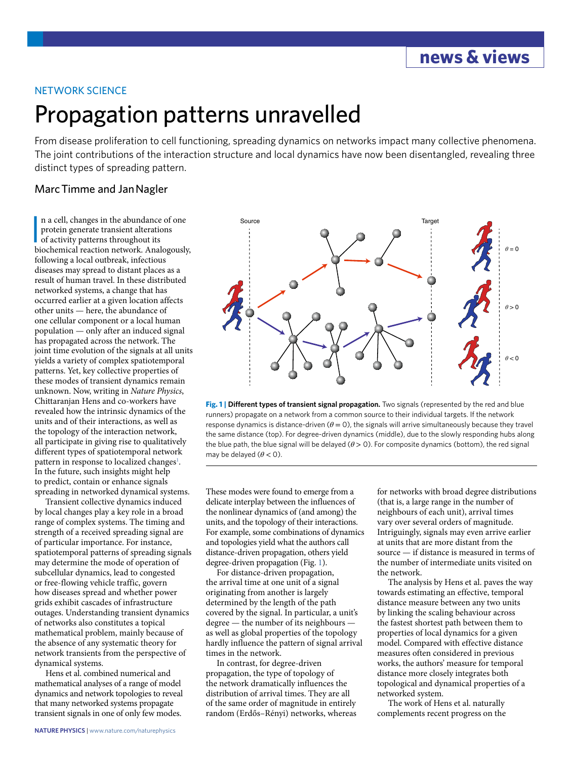**news & views**

### NETWORK SCIENCE

# Propagation patterns unravelled

From disease proliferation to cell functioning, spreading dynamics on networks impact many collective phenomena. The joint contributions of the interaction structure and local dynamics have now been disentangled, revealing three distinct types of spreading pattern.

## Marc Timme and Jan Nagler

In a cell, changes in the abundance of one<br>protein generate transient alterations<br>of activity patterns throughout its<br>biochemical reaction network. Analogously, n a cell, changes in the abundance of one protein generate transient alterations of activity patterns throughout its following a local outbreak, infectious diseases may spread to distant places as a result of human travel. In these distributed networked systems, a change that has occurred earlier at a given location affects other units — here, the abundance of one cellular component or a local human population — only after an induced signal has propagated across the network. The joint time evolution of the signals at all units yields a variety of complex spatiotemporal patterns. Yet, key collective properties of these modes of transient dynamics remain unknown. Now, writing in *Nature Physics*, Chittaranjan Hens and co-workers have revealed how the intrinsic dynamics of the units and of their interactions, as well as the topology of the interaction network, all participate in giving rise to qualitatively different types of spatiotemporal network pattern in response to localized changes<sup>[1](#page-2-0)</sup>. In the future, such insights might help to predict, contain or enhance signals spreading in networked dynamical systems.

Transient collective dynamics induced by local changes play a key role in a broad range of complex systems. The timing and strength of a received spreading signal are of particular importance. For instance, spatiotemporal patterns of spreading signals may determine the mode of operation of subcellular dynamics, lead to congested or free-flowing vehicle traffic, govern how diseases spread and whether power grids exhibit cascades of infrastructure outages. Understanding transient dynamics of networks also constitutes a topical mathematical problem, mainly because of the absence of any systematic theory for network transients from the perspective of dynamical systems.

Hens et al. combined numerical and mathematical analyses of a range of model dynamics and network topologies to reveal that many networked systems propagate transient signals in one of only few modes.



<span id="page-1-0"></span>

These modes were found to emerge from a delicate interplay between the influences of the nonlinear dynamics of (and among) the units, and the topology of their interactions. For example, some combinations of dynamics and topologies yield what the authors call distance-driven propagation, others yield degree-driven propagation (Fig. [1\)](#page-1-0).

For distance-driven propagation, the arrival time at one unit of a signal originating from another is largely determined by the length of the path covered by the signal. In particular, a unit's degree — the number of its neighbours as well as global properties of the topology hardly influence the pattern of signal arrival times in the network.

In contrast, for degree-driven propagation, the type of topology of the network dramatically influences the distribution of arrival times. They are all of the same order of magnitude in entirely random (Erdős–Rényi) networks, whereas for networks with broad degree distributions (that is, a large range in the number of neighbours of each unit), arrival times vary over several orders of magnitude. Intriguingly, signals may even arrive earlier at units that are more distant from the source — if distance is measured in terms of the number of intermediate units visited on the network.

The analysis by Hens et al. paves the way towards estimating an effective, temporal distance measure between any two units by linking the scaling behaviour across the fastest shortest path between them to properties of local dynamics for a given model. Compared with effective distance measures often considered in previous works, the authors' measure for temporal distance more closely integrates both topological and dynamical properties of a networked system.

The work of Hens et al. naturally complements recent progress on the